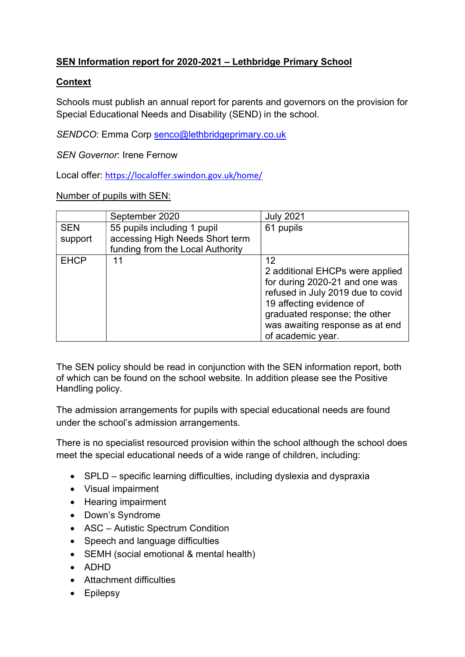# SEN Information report for 2020-2021 – Lethbridge Primary School

## **Context**

Schools must publish an annual report for parents and governors on the provision for Special Educational Needs and Disability (SEND) in the school.

SENDCO: Emma Corp senco@lethbridgeprimary.co.uk

SEN Governor: Irene Fernow

Local offer: https://localoffer.swindon.gov.uk/home/

Number of pupils with SEN:

|             | September 2020                   | <b>July 2021</b>                  |
|-------------|----------------------------------|-----------------------------------|
| <b>SEN</b>  | 55 pupils including 1 pupil      | 61 pupils                         |
| support     | accessing High Needs Short term  |                                   |
|             | funding from the Local Authority |                                   |
| <b>EHCP</b> | 11                               | 12                                |
|             |                                  | 2 additional EHCPs were applied   |
|             |                                  | for during 2020-21 and one was    |
|             |                                  | refused in July 2019 due to covid |
|             |                                  | 19 affecting evidence of          |
|             |                                  | graduated response; the other     |
|             |                                  | was awaiting response as at end   |
|             |                                  | of academic year.                 |

The SEN policy should be read in conjunction with the SEN information report, both of which can be found on the school website. In addition please see the Positive Handling policy.

The admission arrangements for pupils with special educational needs are found under the school's admission arrangements.

There is no specialist resourced provision within the school although the school does meet the special educational needs of a wide range of children, including:

- SPLD specific learning difficulties, including dyslexia and dyspraxia
- Visual impairment
- Hearing impairment
- Down's Syndrome
- ASC Autistic Spectrum Condition
- Speech and language difficulties
- SEMH (social emotional & mental health)
- ADHD
- Attachment difficulties
- Epilepsy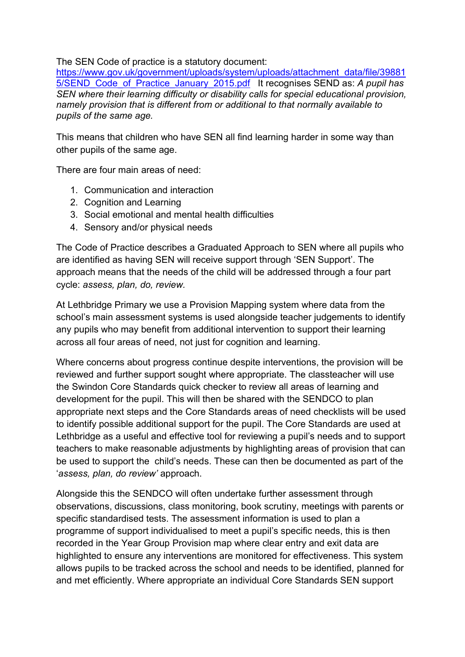## The SEN Code of practice is a statutory document:

https://www.gov.uk/government/uploads/system/uploads/attachment\_data/file/39881 5/SEND Code of Practice January 2015.pdf It recognises SEND as: A pupil has SEN where their learning difficulty or disability calls for special educational provision, namely provision that is different from or additional to that normally available to pupils of the same age.

This means that children who have SEN all find learning harder in some way than other pupils of the same age.

There are four main areas of need:

- 1. Communication and interaction
- 2. Cognition and Learning
- 3. Social emotional and mental health difficulties
- 4. Sensory and/or physical needs

The Code of Practice describes a Graduated Approach to SEN where all pupils who are identified as having SEN will receive support through 'SEN Support'. The approach means that the needs of the child will be addressed through a four part cycle: assess, plan, do, review.

At Lethbridge Primary we use a Provision Mapping system where data from the school's main assessment systems is used alongside teacher judgements to identify any pupils who may benefit from additional intervention to support their learning across all four areas of need, not just for cognition and learning.

Where concerns about progress continue despite interventions, the provision will be reviewed and further support sought where appropriate. The classteacher will use the Swindon Core Standards quick checker to review all areas of learning and development for the pupil. This will then be shared with the SENDCO to plan appropriate next steps and the Core Standards areas of need checklists will be used to identify possible additional support for the pupil. The Core Standards are used at Lethbridge as a useful and effective tool for reviewing a pupil's needs and to support teachers to make reasonable adjustments by highlighting areas of provision that can be used to support the child's needs. These can then be documented as part of the 'assess, plan, do review' approach.

Alongside this the SENDCO will often undertake further assessment through observations, discussions, class monitoring, book scrutiny, meetings with parents or specific standardised tests. The assessment information is used to plan a programme of support individualised to meet a pupil's specific needs, this is then recorded in the Year Group Provision map where clear entry and exit data are highlighted to ensure any interventions are monitored for effectiveness. This system allows pupils to be tracked across the school and needs to be identified, planned for and met efficiently. Where appropriate an individual Core Standards SEN support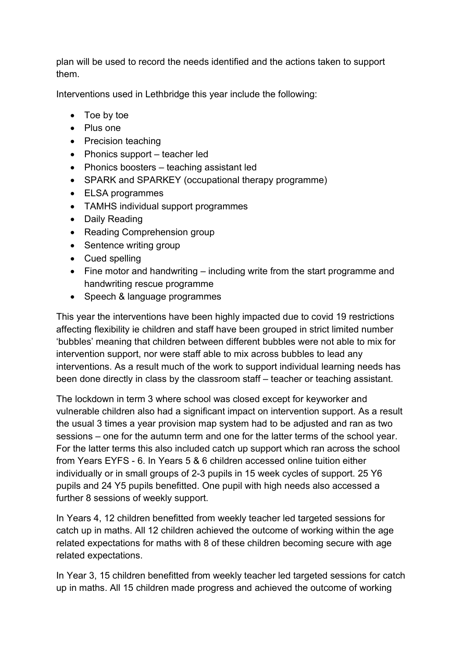plan will be used to record the needs identified and the actions taken to support them.

Interventions used in Lethbridge this year include the following:

- Toe by toe
- Plus one
- Precision teaching
- Phonics support teacher led
- Phonics boosters teaching assistant led
- SPARK and SPARKEY (occupational therapy programme)
- ELSA programmes
- TAMHS individual support programmes
- Daily Reading
- Reading Comprehension group
- Sentence writing group
- Cued spelling
- $\bullet$  Fine motor and handwriting including write from the start programme and handwriting rescue programme
- Speech & language programmes

This year the interventions have been highly impacted due to covid 19 restrictions affecting flexibility ie children and staff have been grouped in strict limited number 'bubbles' meaning that children between different bubbles were not able to mix for intervention support, nor were staff able to mix across bubbles to lead any interventions. As a result much of the work to support individual learning needs has been done directly in class by the classroom staff – teacher or teaching assistant.

The lockdown in term 3 where school was closed except for keyworker and vulnerable children also had a significant impact on intervention support. As a result the usual 3 times a year provision map system had to be adjusted and ran as two sessions – one for the autumn term and one for the latter terms of the school year. For the latter terms this also included catch up support which ran across the school from Years EYFS - 6. In Years 5 & 6 children accessed online tuition either individually or in small groups of 2-3 pupils in 15 week cycles of support. 25 Y6 pupils and 24 Y5 pupils benefitted. One pupil with high needs also accessed a further 8 sessions of weekly support.

In Years 4, 12 children benefitted from weekly teacher led targeted sessions for catch up in maths. All 12 children achieved the outcome of working within the age related expectations for maths with 8 of these children becoming secure with age related expectations.

In Year 3, 15 children benefitted from weekly teacher led targeted sessions for catch up in maths. All 15 children made progress and achieved the outcome of working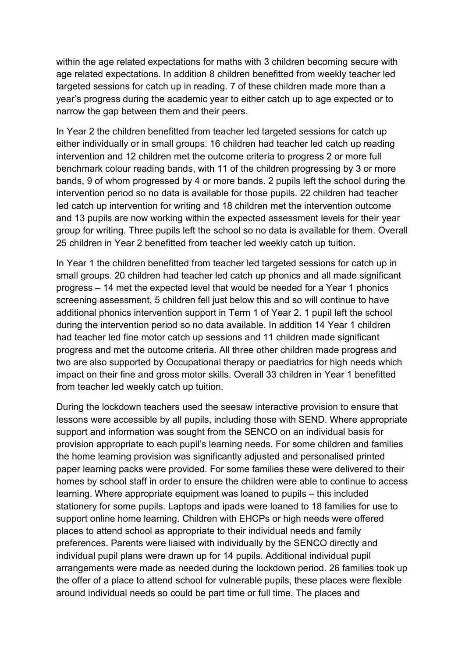within the age related expectations for maths with 3 children becoming secure with age related expectations. In addition 8 children benefitted from weekly teacher led targeted sessions for catch up in reading. 7 of these children made more than a year's progress during the academic year to either catch up to age expected or to narrow the gap between them and their peers.

In Year 2 the children benefitted from teacher led targeted sessions for catch up either individually or in small groups. 16 children had teacher led catch up reading intervention and 12 children met the outcome criteria to progress 2 or more full benchmark colour reading bands, with 11 of the children progressing by 3 or more bands, 9 of whom progressed by 4 or more bands. 2 pupils left the school during the intervention period so no data is available for those pupils. 22 children had teacher led catch up intervention for writing and 18 children met the intervention outcome and 13 pupils are now working within the expected assessment levels for their year group for writing. Three pupils left the school so no data is available for them. Overall 25 children in Year 2 benefitted from teacher led weekly catch up tuition.

In Year 1 the children benefitted from teacher led targeted sessions for catch up in small groups. 20 children had teacher led catch up phonics and all made significant progress – 14 met the expected level that would be needed for a Year 1 phonics screening assessment, 5 children fell just below this and so will continue to have additional phonics intervention support in Term 1 of Year 2. 1 pupil left the school during the intervention period so no data available. In addition 14 Year 1 children had teacher led fine motor catch up sessions and 11 children made significant progress and met the outcome criteria. All three other children made progress and two are also supported by Occupational therapy or paediatrics for high needs which impact on their fine and gross motor skills. Overall 33 children in Year 1 benefitted from teacher led weekly catch up tuition.

During the lockdown teachers used the seesaw interactive provision to ensure that lessons were accessible by all pupils, including those with SEND. Where appropriate support and information was sought from the SENCO on an individual basis for provision appropriate to each pupil's learning needs. For some children and families the home learning provision was significantly adjusted and personalised printed paper learning packs were provided. For some families these were delivered to their homes by school staff in order to ensure the children were able to continue to access learning. Where appropriate equipment was loaned to pupils – this included stationery for some pupils. Laptops and ipads were loaned to 18 families for use to support online home learning. Children with EHCPs or high needs were offered places to attend school as appropriate to their individual needs and family preferences. Parents were liaised with individually by the SENCO directly and individual pupil plans were drawn up for 14 pupils. Additional individual pupil arrangements were made as needed during the lockdown period. 26 families took up the offer of a place to attend school for vulnerable pupils, these places were flexible around individual needs so could be part time or full time. The places and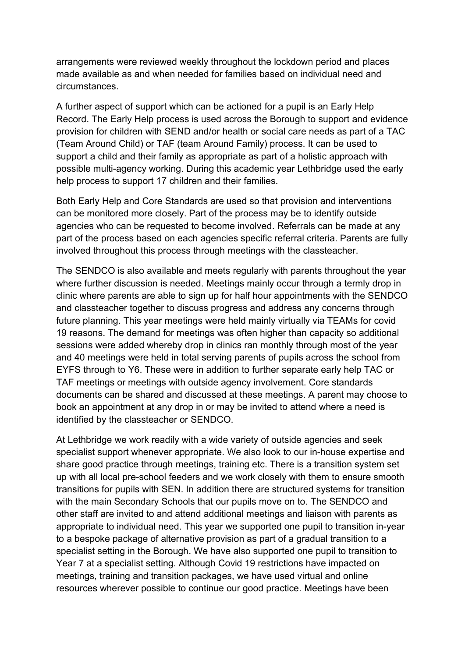arrangements were reviewed weekly throughout the lockdown period and places made available as and when needed for families based on individual need and circumstances.

A further aspect of support which can be actioned for a pupil is an Early Help Record. The Early Help process is used across the Borough to support and evidence provision for children with SEND and/or health or social care needs as part of a TAC (Team Around Child) or TAF (team Around Family) process. It can be used to support a child and their family as appropriate as part of a holistic approach with possible multi-agency working. During this academic year Lethbridge used the early help process to support 17 children and their families.

Both Early Help and Core Standards are used so that provision and interventions can be monitored more closely. Part of the process may be to identify outside agencies who can be requested to become involved. Referrals can be made at any part of the process based on each agencies specific referral criteria. Parents are fully involved throughout this process through meetings with the classteacher.

The SENDCO is also available and meets regularly with parents throughout the year where further discussion is needed. Meetings mainly occur through a termly drop in clinic where parents are able to sign up for half hour appointments with the SENDCO and classteacher together to discuss progress and address any concerns through future planning. This year meetings were held mainly virtually via TEAMs for covid 19 reasons. The demand for meetings was often higher than capacity so additional sessions were added whereby drop in clinics ran monthly through most of the year and 40 meetings were held in total serving parents of pupils across the school from EYFS through to Y6. These were in addition to further separate early help TAC or TAF meetings or meetings with outside agency involvement. Core standards documents can be shared and discussed at these meetings. A parent may choose to book an appointment at any drop in or may be invited to attend where a need is identified by the classteacher or SENDCO.

At Lethbridge we work readily with a wide variety of outside agencies and seek specialist support whenever appropriate. We also look to our in-house expertise and share good practice through meetings, training etc. There is a transition system set up with all local pre-school feeders and we work closely with them to ensure smooth transitions for pupils with SEN. In addition there are structured systems for transition with the main Secondary Schools that our pupils move on to. The SENDCO and other staff are invited to and attend additional meetings and liaison with parents as appropriate to individual need. This year we supported one pupil to transition in-year to a bespoke package of alternative provision as part of a gradual transition to a specialist setting in the Borough. We have also supported one pupil to transition to Year 7 at a specialist setting. Although Covid 19 restrictions have impacted on meetings, training and transition packages, we have used virtual and online resources wherever possible to continue our good practice. Meetings have been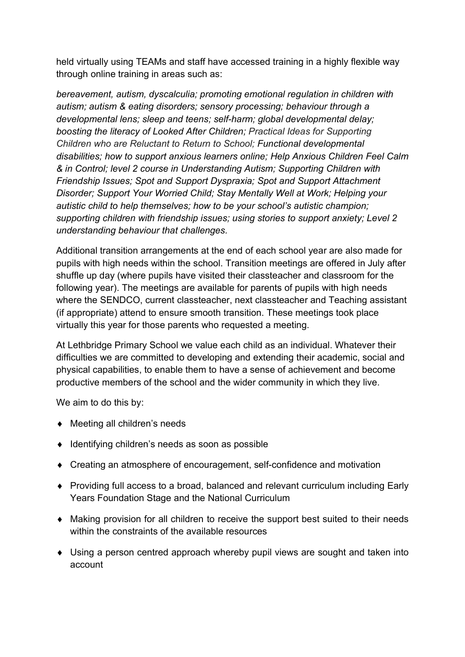held virtually using TEAMs and staff have accessed training in a highly flexible way through online training in areas such as:

bereavement, autism, dyscalculia; promoting emotional regulation in children with autism; autism & eating disorders; sensory processing; behaviour through a developmental lens; sleep and teens; self-harm; global developmental delay; boosting the literacy of Looked After Children; Practical Ideas for Supporting Children who are Reluctant to Return to School; Functional developmental disabilities; how to support anxious learners online; Help Anxious Children Feel Calm & in Control; level 2 course in Understanding Autism; Supporting Children with Friendship Issues; Spot and Support Dyspraxia; Spot and Support Attachment Disorder; Support Your Worried Child; Stay Mentally Well at Work; Helping your autistic child to help themselves; how to be your school's autistic champion; supporting children with friendship issues; using stories to support anxiety; Level 2 understanding behaviour that challenges.

Additional transition arrangements at the end of each school year are also made for pupils with high needs within the school. Transition meetings are offered in July after shuffle up day (where pupils have visited their classteacher and classroom for the following year). The meetings are available for parents of pupils with high needs where the SENDCO, current classteacher, next classteacher and Teaching assistant (if appropriate) attend to ensure smooth transition. These meetings took place virtually this year for those parents who requested a meeting.

At Lethbridge Primary School we value each child as an individual. Whatever their difficulties we are committed to developing and extending their academic, social and physical capabilities, to enable them to have a sense of achievement and become productive members of the school and the wider community in which they live.

We aim to do this by:

- ◆ Meeting all children's needs
- ◆ Identifying children's needs as soon as possible
- Creating an atmosphere of encouragement, self-confidence and motivation
- Providing full access to a broad, balanced and relevant curriculum including Early Years Foundation Stage and the National Curriculum
- Making provision for all children to receive the support best suited to their needs within the constraints of the available resources
- Using a person centred approach whereby pupil views are sought and taken into account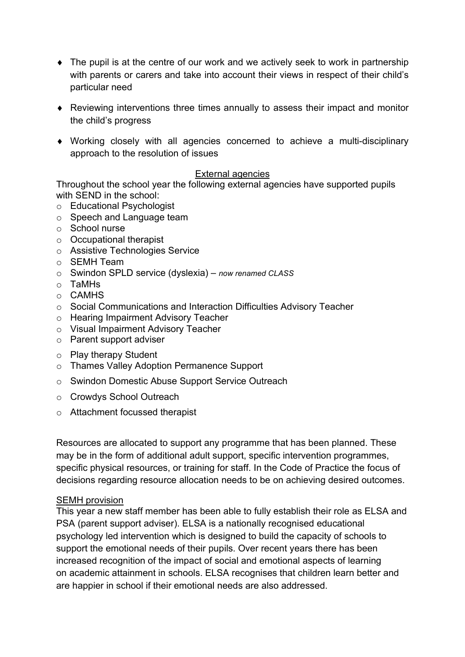- The pupil is at the centre of our work and we actively seek to work in partnership with parents or carers and take into account their views in respect of their child's particular need
- Reviewing interventions three times annually to assess their impact and monitor the child's progress
- Working closely with all agencies concerned to achieve a multi-disciplinary approach to the resolution of issues

## External agencies

Throughout the school year the following external agencies have supported pupils with SEND in the school:

- o Educational Psychologist
- o Speech and Language team
- o School nurse
- o Occupational therapist
- o Assistive Technologies Service
- o SEMH Team
- o Swindon SPLD service (dyslexia) now renamed CLASS
- o TaMHs
- o CAMHS
- o Social Communications and Interaction Difficulties Advisory Teacher
- o Hearing Impairment Advisory Teacher
- o Visual Impairment Advisory Teacher
- o Parent support adviser
- o Play therapy Student
- o Thames Valley Adoption Permanence Support
- o Swindon Domestic Abuse Support Service Outreach
- o Crowdys School Outreach
- o Attachment focussed therapist

Resources are allocated to support any programme that has been planned. These may be in the form of additional adult support, specific intervention programmes, specific physical resources, or training for staff. In the Code of Practice the focus of decisions regarding resource allocation needs to be on achieving desired outcomes.

## SEMH provision

This year a new staff member has been able to fully establish their role as ELSA and PSA (parent support adviser). ELSA is a nationally recognised educational psychology led intervention which is designed to build the capacity of schools to support the emotional needs of their pupils. Over recent years there has been increased recognition of the impact of social and emotional aspects of learning on academic attainment in schools. ELSA recognises that children learn better and are happier in school if their emotional needs are also addressed.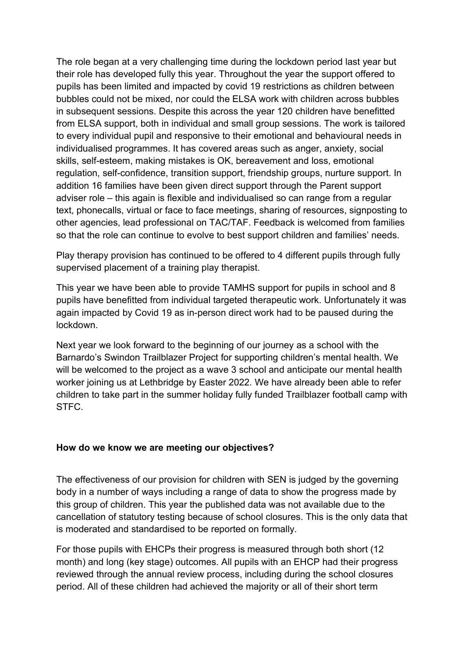The role began at a very challenging time during the lockdown period last year but their role has developed fully this year. Throughout the year the support offered to pupils has been limited and impacted by covid 19 restrictions as children between bubbles could not be mixed, nor could the ELSA work with children across bubbles in subsequent sessions. Despite this across the year 120 children have benefitted from ELSA support, both in individual and small group sessions. The work is tailored to every individual pupil and responsive to their emotional and behavioural needs in individualised programmes. It has covered areas such as anger, anxiety, social skills, self-esteem, making mistakes is OK, bereavement and loss, emotional regulation, self-confidence, transition support, friendship groups, nurture support. In addition 16 families have been given direct support through the Parent support adviser role – this again is flexible and individualised so can range from a regular text, phonecalls, virtual or face to face meetings, sharing of resources, signposting to other agencies, lead professional on TAC/TAF. Feedback is welcomed from families so that the role can continue to evolve to best support children and families' needs.

Play therapy provision has continued to be offered to 4 different pupils through fully supervised placement of a training play therapist.

This year we have been able to provide TAMHS support for pupils in school and 8 pupils have benefitted from individual targeted therapeutic work. Unfortunately it was again impacted by Covid 19 as in-person direct work had to be paused during the lockdown.

Next year we look forward to the beginning of our journey as a school with the Barnardo's Swindon Trailblazer Project for supporting children's mental health. We will be welcomed to the project as a wave 3 school and anticipate our mental health worker joining us at Lethbridge by Easter 2022. We have already been able to refer children to take part in the summer holiday fully funded Trailblazer football camp with STFC.

## How do we know we are meeting our objectives?

The effectiveness of our provision for children with SEN is judged by the governing body in a number of ways including a range of data to show the progress made by this group of children. This year the published data was not available due to the cancellation of statutory testing because of school closures. This is the only data that is moderated and standardised to be reported on formally.

For those pupils with EHCPs their progress is measured through both short (12 month) and long (key stage) outcomes. All pupils with an EHCP had their progress reviewed through the annual review process, including during the school closures period. All of these children had achieved the majority or all of their short term